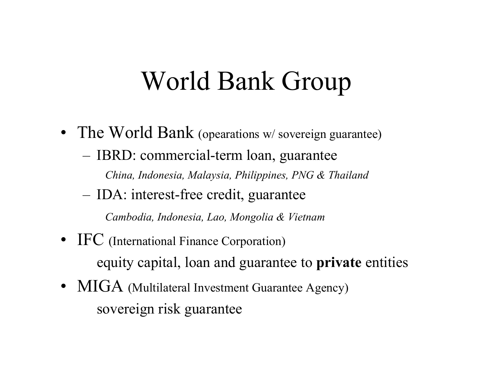# World Bank Group

- The World Bank (opearations w/sovereign guarantee) – IBRD: commercial-term loan, guarantee *China, Indonesia, Malaysia, Philippines, PNG & Thailand*
	- IDA: interest-free credit, guarantee

*Cambodia, Indonesia, Lao, Mongolia & Vietnam*

- IFC (International Finance Corporation) equity capital, loan and guarantee to **private** entities
- MIGA (Multilateral Investment Guarantee Agency) sovereign risk guarantee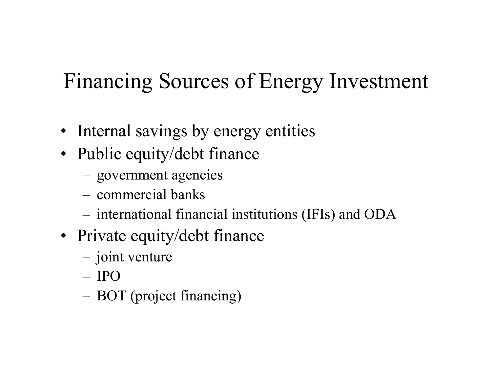### Financing Sources of Energy Investment

- Internal savings by energy entities
- Public equity/debt finance
	- –government agencies
	- commercial banks
	- international financial institutions (IFIs) and ODA
- Private equity/debt finance
	- joint venture
	- IPO
	- BOT (project financing)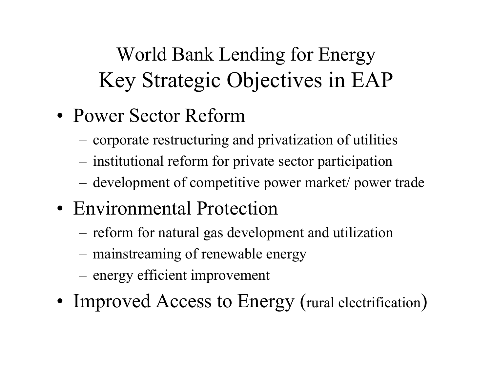World Bank Lending for Energy Key Strategic Objectives in EAP

- •Power Sector Reform
	- corporate restructuring and privatization of utilities
	- institutional reform for private sector participation
	- development of competitive power market/ power trade
- Environmental Protection
	- reform for natural gas development and utilization
	- mainstreaming of renewable energy
	- energy efficient improvement
- •• Improved Access to Energy (rural electrification)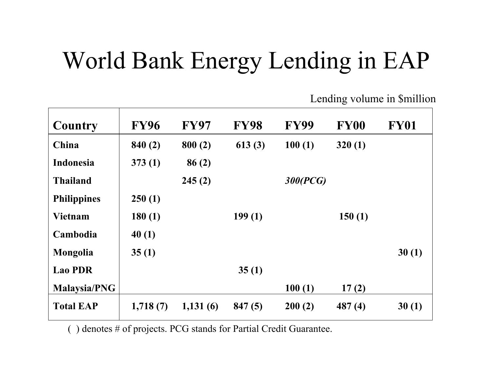# World Bank Energy Lending in EAP

Lending volume in \$million

| Country             | <b>FY96</b> | <b>FY97</b> | <b>FY98</b> | <b>FY99</b> | <b>FY00</b> | <b>FY01</b> |
|---------------------|-------------|-------------|-------------|-------------|-------------|-------------|
| China               | 840(2)      | 800(2)      | 613(3)      | 100(1)      | 320(1)      |             |
| <b>Indonesia</b>    | 373(1)      | 86(2)       |             |             |             |             |
| <b>Thailand</b>     |             | 245(2)      |             | 300(PCG)    |             |             |
| <b>Philippines</b>  | 250(1)      |             |             |             |             |             |
| <b>Vietnam</b>      | 180(1)      |             | 199(1)      |             | 150(1)      |             |
| Cambodia            | 40(1)       |             |             |             |             |             |
| Mongolia            | 35(1)       |             |             |             |             | 30(1)       |
| <b>Lao PDR</b>      |             |             | 35(1)       |             |             |             |
| <b>Malaysia/PNG</b> |             |             |             | 100(1)      | 17(2)       |             |
| <b>Total EAP</b>    | 1,718(7)    | 1,131(6)    | 847(5)      | 200(2)      | 487(4)      | 30(1)       |

( ) denotes # of projects. PCG stands for Partial Credit Guarantee.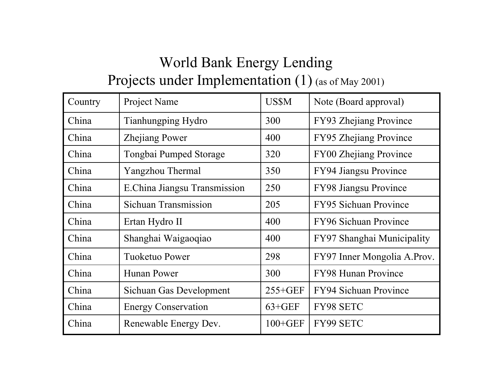### World Bank Energy Lending

#### Projects under Implementation (1) (as of May 2001)

| Country | Project Name                 | <b>US\$M</b> | Note (Board approval)         |
|---------|------------------------------|--------------|-------------------------------|
| China   | Tianhungping Hydro           | 300          | FY93 Zhejiang Province        |
| China   | <b>Zhejiang Power</b>        | 400          | FY95 Zhejiang Province        |
| China   | Tongbai Pumped Storage       | 320          | <b>FY00 Zhejiang Province</b> |
| China   | Yangzhou Thermal             | 350          | FY94 Jiangsu Province         |
| China   | E.China Jiangsu Transmission | 250          | FY98 Jiangsu Province         |
| China   | Sichuan Transmission         | 205          | <b>FY95 Sichuan Province</b>  |
| China   | Ertan Hydro II               | 400          | FY96 Sichuan Province         |
| China   | Shanghai Waigaoqiao          | 400          | FY97 Shanghai Municipality    |
| China   | <b>Tuoketuo Power</b>        | 298          | FY97 Inner Mongolia A.Prov.   |
| China   | Hunan Power                  | 300          | <b>FY98 Hunan Province</b>    |
| China   | Sichuan Gas Development      | $255 + GEF$  | <b>FY94 Sichuan Province</b>  |
| China   | <b>Energy Conservation</b>   | $63 + GEF$   | FY98 SETC                     |
| China   | Renewable Energy Dev.        | $100 + GEF$  | <b>FY99 SETC</b>              |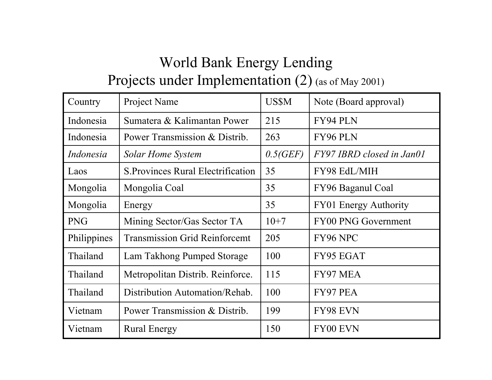### World Bank Energy Lending

#### Projects under Implementation (2) (as of May 2001)

| Country     | Project Name                              | <b>US\$M</b> | Note (Board approval)        |  |
|-------------|-------------------------------------------|--------------|------------------------------|--|
| Indonesia   | Sumatera & Kalimantan Power               | 215          | FY94 PLN                     |  |
| Indonesia   | Power Transmission & Distrib.             | 263          | FY96 PLN                     |  |
| Indonesia   | Solar Home System                         | 0.5(GEF)     | FY97 IBRD closed in Jan01    |  |
| Laos        | <b>S. Provinces Rural Electrification</b> | 35           | FY98 EdL/MIH                 |  |
| Mongolia    | Mongolia Coal                             | 35           | FY96 Baganul Coal            |  |
| Mongolia    | Energy                                    | 35           | <b>FY01 Energy Authority</b> |  |
| <b>PNG</b>  | Mining Sector/Gas Sector TA               | $10+7$       | <b>FY00 PNG Government</b>   |  |
| Philippines | <b>Transmission Grid Reinforcemt</b>      | 205          | FY96 NPC                     |  |
| Thailand    | Lam Takhong Pumped Storage                | 100          | FY95 EGAT                    |  |
| Thailand    | Metropolitan Distrib. Reinforce.          | 115          | FY97 MEA                     |  |
| Thailand    | Distribution Automation/Rehab.            | 100          | FY97 PEA                     |  |
| Vietnam     | Power Transmission & Distrib.             | 199          | <b>FY98 EVN</b>              |  |
| Vietnam     | <b>Rural Energy</b>                       | 150          | FY00 EVN                     |  |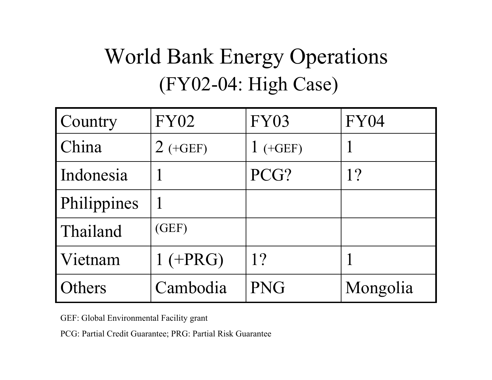## World Bank Energy Operations (FY02-04: High Case)

| Country       | <b>FY02</b> | <b>FY03</b> | <b>FY04</b> |
|---------------|-------------|-------------|-------------|
| China         | $2$ (+GEF)  | $(+GEF)$    |             |
| Indonesia     |             | PCG?        | 1?          |
| Philippines   |             |             |             |
| Thailand      | (GEF)       |             |             |
| Vietnam       | $1 (+PRG)$  | 1?          |             |
| <b>Others</b> | Cambodia    | <b>PNG</b>  | Mongolia    |

GEF: Global Environmental Facility grant

PCG: Partial Credit Guarantee; PRG: Partial Risk Guarantee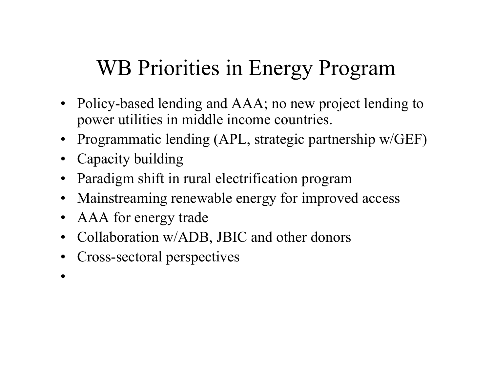### WB Priorities in Energy Program

- Policy-based lending and AAA; no new project lending to power utilities in middle income countries.
- •Programmatic lending (APL, strategic partnership w/GEF)
- Capacity building
- $\bullet$ Paradigm shift in rural electrification program
- •Mainstreaming renewable energy for improved access
- •AAA for energy trade
- •Collaboration w/ADB, JBIC and other donors
- •Cross-sectoral perspectives
- •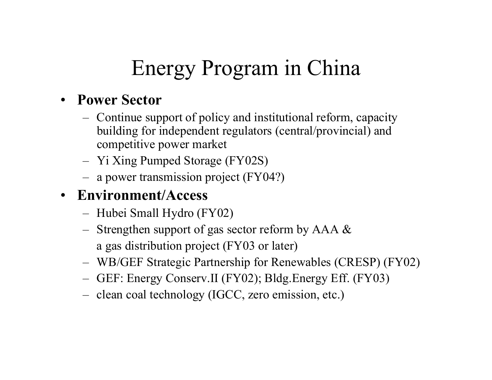## Energy Program in China

#### • **Power Sector**

- Continue support of policy and institutional reform, capacity building for independent regulators (central/provincial) and competitive power market
- Yi Xing Pumped Storage (FY02S)
- a power transmission project (FY04?)

#### • **Environment/Access**

- Hubei Small Hydro (FY02)
- Strengthen support of gas sector reform by AAA & a gas distribution project (FY03 or later)
- WB/GEF Strategic Partnership for Renewables (CRESP) (FY02)
- GEF: Energy Conserv.II (FY02); Bldg.Energy Eff. (FY03)
- clean coal technology (IGCC, zero emission, etc.)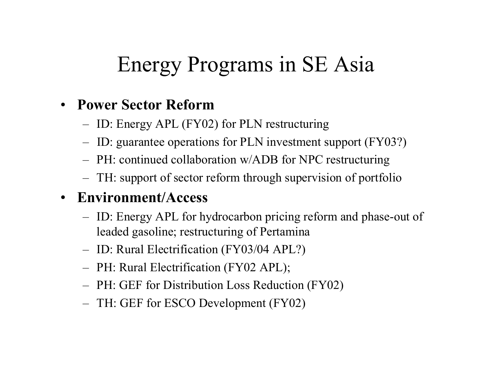### Energy Programs in SE Asia

#### • **Power Sector Reform**

- ID: Energy APL (FY02) for PLN restructuring
- ID: guarantee operations for PLN investment support (FY03?)
- PH: continued collaboration w/ADB for NPC restructuring
- TH: support of sector reform through supervision of portfolio

#### • **Environment/Access**

- ID: Energy APL for hydrocarbon pricing reform and phase-out of leaded gasoline; restructuring of Pertamina
- ID: Rural Electrification (FY03/04 APL?)
- PH: Rural Electrification (FY02 A PL);
- PH: GEF for Distribution Loss Reduction (FY02)
- TH: GEF for ESCO Development (FY02)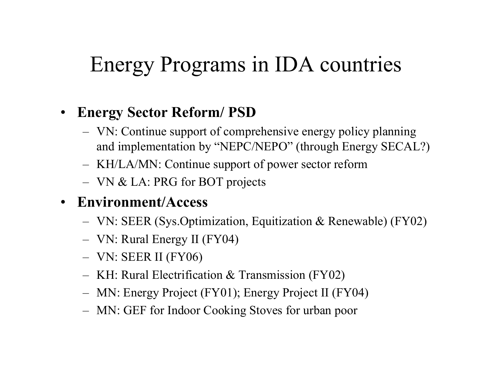### Energy Programs in IDA countries

### • **Energy Sector Reform/ PSD**

- VN: Continue support of comprehensive energy policy planning and implementation by "NEPC/NEPO" (through Energy SECAL?)
- KH/LA/MN: Continue support of power sector reform
- VN & LA: PRG for BOT projects
- **Environment/Access**
	- VN: SEER (Sys.Optimization, Equitization & Ren ewable) (FY02)
	- VN: Rural Energy II (FY04)
	- VN: SEER II (FY06)
	- KH: Rural Electrification & Transmission (FY02)
	- MN: Energy Project (FY01); Energy Project II (FY04)
	- MN: GEF for Indoor Cooking Stoves for urban poor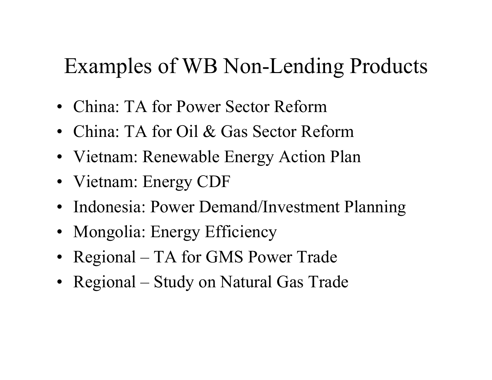### Examples of WB Non-Lending Products

- $\bullet$ China: TA for Power Sector Reform
- China: TA for Oil & Gas Sector Reform
- Vietnam: Renewable Energy Action Plan
- Vietnam: Energy CDF
- Indonesia: Power Demand/Investment Planning
- Mongolia: Energy Efficiency
- Regional TA for GMS Power Trade
- Regional Study on Natural Gas Trade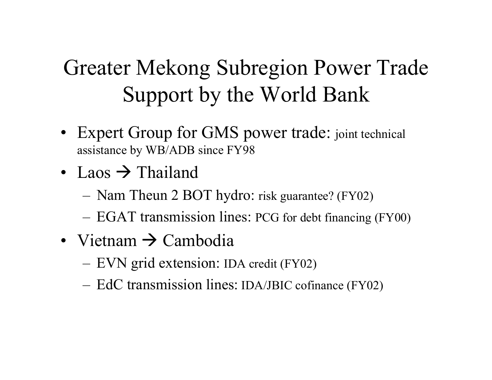## Greater Mekong Subregion Power Trade Support by the World Bank

- Expert Group for GMS power trade: joint technical assistance by WB/ADB since FY98
- Laos  $\rightarrow$  Thailand
	- Nam Theun 2 BOT hydro: risk guarantee? (FY02)
	- EGAT transmission lines: PCG for debt financing (FY00)
- Vietnam  $\rightarrow$  Cambodia
	- EVN grid extension: IDA credit (FY02)
	- EdC transmission lines: IDA/JBIC cofinance (FY02)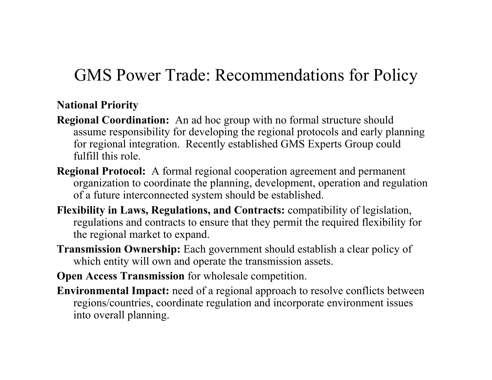### GMS Power Trade: Recommendations for Policy

#### **National Priority**

- **Regional Coordination:** An ad hoc group with no formal structure should assume responsibility for developing the regional protocols and early planning for regional integration. Recently established GMS Experts Group could fulfill this role.
- **Regional Protocol:** A formal regional cooperation agreement and permanent organization to coordinate the planning, development, operation and regulation of a future interconnected system should be established.
- **Flexibility in Laws, Regulations, and Contracts:** compatibility of legislation, regulations and contracts to ensure that they permit the required flexibility for the regional market to expand.
- **Transmission Ownership:** Each government should establish a clear policy of which entity will own and operate the transmission assets.
- **Open Access Transmission** for wholesale competition.
- **Environmental Impact:** need of a regional approach to resolve conflicts between regions/countries, coordinate regulation and incorporate environment issues into overall planning.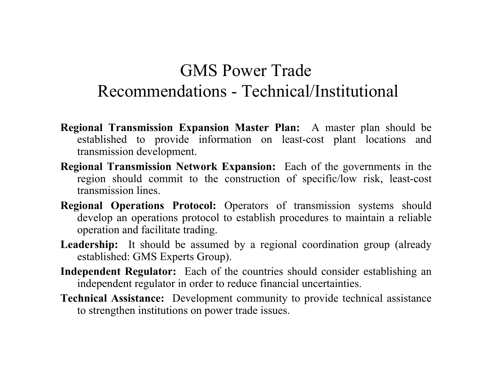### GMS Power TradeRecommendations - Technical/Institutional

- **Regional Transmission Expansion Master Plan:** A master plan should be established to provide information on least-cost plant locations and transmission development.
- **Regional Transmission Network Expansion:** Each of the governments in the region should commit to the construction of specific/low risk, least-cost transmission lines.
- **Regional Operations Protocol:** Operators of transmission systems should develop an operations protocol to establish procedures to maintain a reliable operation and facilitate trading.
- Leadership: It should be assumed by a regional coordination group (already established: GMS Experts Group).
- **Independent Regulator:** Each of the countries should consider establishing an independent regulator in order to reduce financial uncertainties.
- **Technical Assistance:** Development community to provide technical assistance to strengthen institutions on power trade issues.